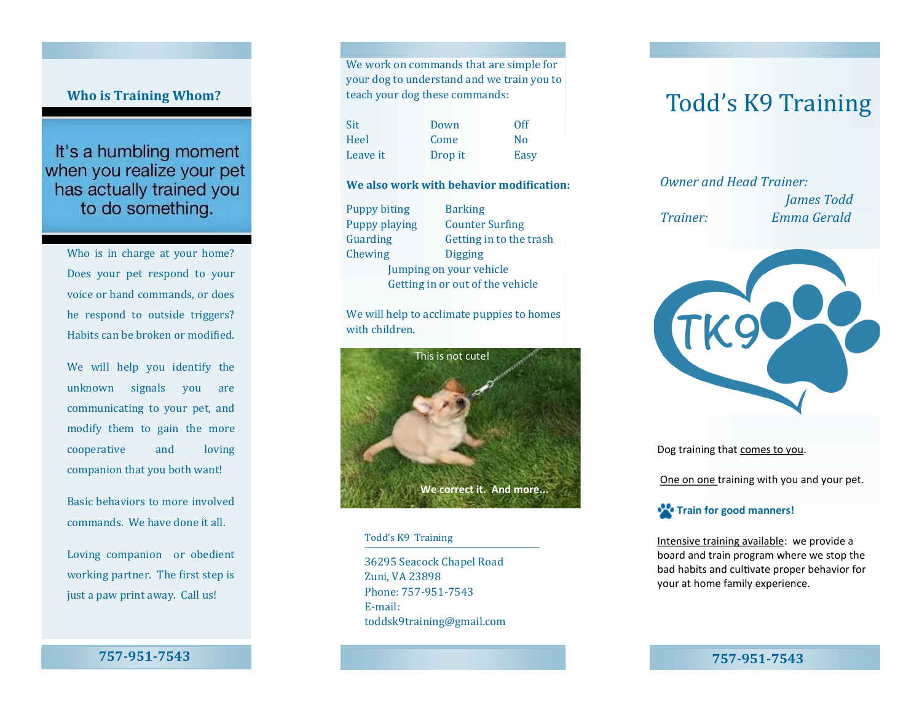# **Who is Training Whom?**

It's a humbling moment when you realize your pet has actually trained you to do something.

> Who is in charge at your home? Does your pet respond to your voice or hand commands, or does he respond to outside triggers? Habits can be broken or modified.

> We will help you identify the unknown signals you are communicating to your pet, and modify them to gain the more cooperative and loving companion that you both want!

Basic behaviors to more involved commands. We have done it all.

Loving companion or obedient working partner. The first step is just a paw print away. Call us!

**757-951-7543**

We work on commands that are simple for your dog to understand and we train you to teach your dog these commands:

Sit Down Off Heel Come No Leave it Drop it Easy

#### **We also work with behavior modification:**

Puppy biting Barking Puppy playing Counter Surfing Guarding Getting in to the trash Chewing Digging Jumping on your vehicle Getting in or out of the vehicle

We will help to acclimate puppies to homes with children.



### Todd's K9 Training

36295 Seacock Chapel Road Zuni, VA 23898 Phone: 757-951-7543 E-mail: toddsk9training@gmail.com

# Todd's K9 Training

*Owner and Head Trainer: James Todd Trainer: Emma Gerald*



Dog training that comes to you.

One on one training with you and your pet.



Intensive training available: we provide a board and train program where we stop the bad habits and cultivate proper behavior for your at home family experience.